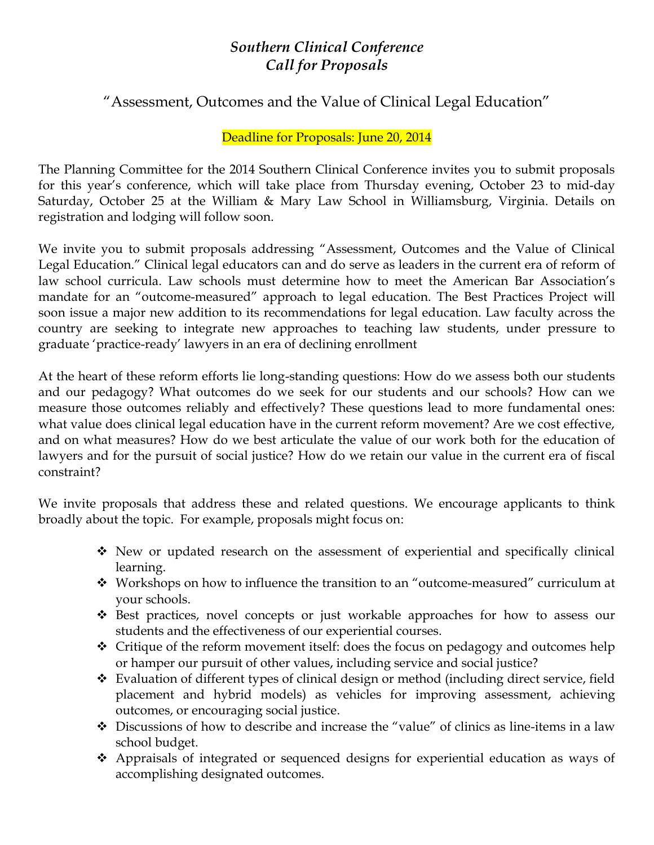# *Southern Clinical Conference Call for Proposals*

# "Assessment, Outcomes and the Value of Clinical Legal Education"

### Deadline for Proposals: June 20, 2014

The Planning Committee for the 2014 Southern Clinical Conference invites you to submit proposals for this year's conference, which will take place from Thursday evening, October 23 to mid-day Saturday, October 25 at the William & Mary Law School in Williamsburg, Virginia. Details on registration and lodging will follow soon.

We invite you to submit proposals addressing "Assessment, Outcomes and the Value of Clinical Legal Education." Clinical legal educators can and do serve as leaders in the current era of reform of law school curricula. Law schools must determine how to meet the American Bar Association's mandate for an "outcome-measured" approach to legal education. The Best Practices Project will soon issue a major new addition to its recommendations for legal education. Law faculty across the country are seeking to integrate new approaches to teaching law students, under pressure to graduate 'practice-ready' lawyers in an era of declining enrollment

At the heart of these reform efforts lie long-standing questions: How do we assess both our students and our pedagogy? What outcomes do we seek for our students and our schools? How can we measure those outcomes reliably and effectively? These questions lead to more fundamental ones: what value does clinical legal education have in the current reform movement? Are we cost effective, and on what measures? How do we best articulate the value of our work both for the education of lawyers and for the pursuit of social justice? How do we retain our value in the current era of fiscal constraint?

We invite proposals that address these and related questions. We encourage applicants to think broadly about the topic. For example, proposals might focus on:

- New or updated research on the assessment of experiential and specifically clinical learning.
- Workshops on how to influence the transition to an "outcome-measured" curriculum at your schools.
- ◆ Best practices, novel concepts or just workable approaches for how to assess our students and the effectiveness of our experiential courses.
- $\triangle$  Critique of the reform movement itself: does the focus on pedagogy and outcomes help or hamper our pursuit of other values, including service and social justice?
- Evaluation of different types of clinical design or method (including direct service, field placement and hybrid models) as vehicles for improving assessment, achieving outcomes, or encouraging social justice.
- Discussions of how to describe and increase the "value" of clinics as line-items in a law school budget.
- Appraisals of integrated or sequenced designs for experiential education as ways of accomplishing designated outcomes.